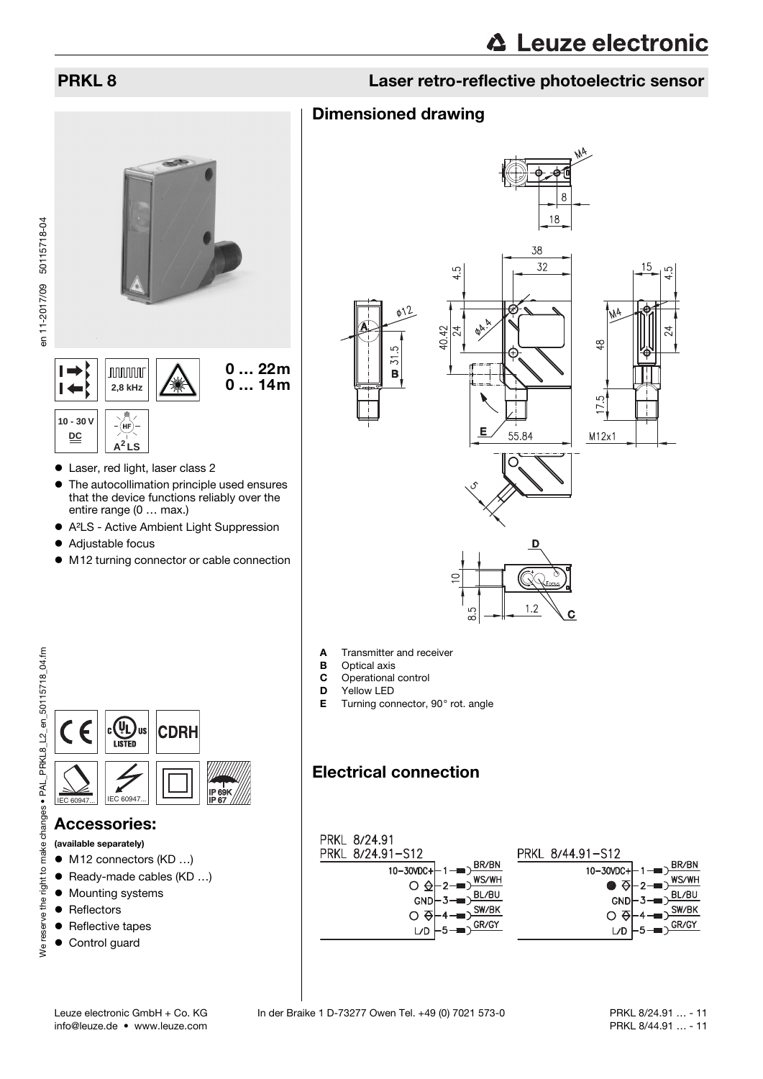en 11-2017/09 50115718-04

en 11-2017/09 50115718-04

### PRKL 8 Laser retro-reflective photoelectric sensor

### Dimensioned drawing



- Laser, red light, laser class 2
- $\bullet$  The autocollimation principle used ensures that the device functions reliably over the entire range (0 … max.)
- A²LS Active Ambient Light Suppression
- Adjustable focus
- $\bullet$  M12 turning connector or cable connection





- **A** Transmitter and receiver<br>**B** Optical axis
	- Optical axis
	- **C** Operational control<br>**D** Yellow LED
	- **D** Yellow LED<br>**E** Turning con
	- Turning connector, 90° rot. angle

### Electrical connection

<span id="page-0-0"></span>

| PRKL 8/24.91<br>PRKL 8/24.91-S12<br>$1 - \frac{BR/BN}{P}$<br>$10-30VDC +$<br>WS/WH<br>O <del>Q</del> + 2 → | PRKL 8/44.91-S12<br>$10-30VDC + 1$ – $\rightarrow$ $\frac{BR/BN}{P}$<br>$\bigcirc$ $\bigcirc$ $\vdash$ 2 $\blacksquare$ $\frac{\vee}{\vee}$ WS/WH |
|------------------------------------------------------------------------------------------------------------|---------------------------------------------------------------------------------------------------------------------------------------------------|
| $GND$ -3 $\rightarrow$ BL/BU<br>$\sqrt{\text{SW/BK}}$<br>L/D F                                             | $GND$ $-3$ $-BL/BU$<br>SW/BK<br>GR/GY                                                                                                             |



### Accessories:

- (available separately)
- M12 connectors (KD ...)
- Ready-made cables (KD ...)
- $\bullet$  Mounting systems
- Reflectors
- Reflective tapes
- Control guard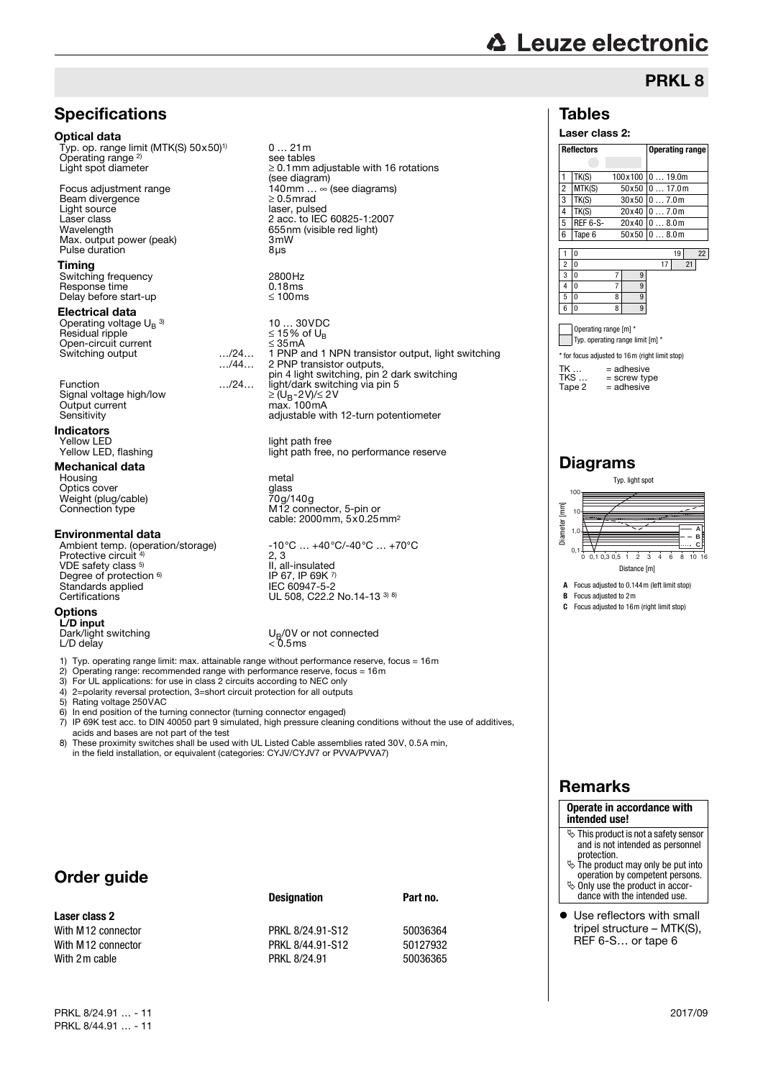# **△ Leuze electronic**

### PRKL 8

## Tables

### Laser class 2:

| <b>Reflectors</b>                                                     |                       |                | <b>Operating range</b> |          |    |    |    |  |
|-----------------------------------------------------------------------|-----------------------|----------------|------------------------|----------|----|----|----|--|
|                                                                       |                       |                |                        |          |    |    |    |  |
| 1                                                                     | TK(S)                 |                | 100x100                | 019.0m   |    |    |    |  |
| $\overline{\mathbf{c}}$                                               | MTK(S)                |                | 50x50                  | 0  17.0m |    |    |    |  |
| 3                                                                     | TK(S)                 |                | 30x50                  | 07.0m    |    |    |    |  |
| $\overline{4}$                                                        | TK(S)                 |                | 20x40                  | 07.0m    |    |    |    |  |
| 5                                                                     | <b>REF 6-S-</b>       |                | 20x40                  | 08.0m    |    |    |    |  |
| 6                                                                     | Tape 6                |                | 50x50                  | 08.0m    |    |    |    |  |
|                                                                       |                       |                |                        |          |    |    |    |  |
| 1                                                                     | 0                     |                |                        |          | 19 |    | 22 |  |
| $\overline{c}$                                                        | $\Omega$              |                |                        | 17       |    | 21 |    |  |
| 3                                                                     | 0                     | 7              | 9                      |          |    |    |    |  |
| 4                                                                     | $\Omega$              | $\overline{7}$ | 9                      |          |    |    |    |  |
| 5                                                                     | 0                     | 8              | 9                      |          |    |    |    |  |
| 6                                                                     | 0                     | 8              | 9                      |          |    |    |    |  |
|                                                                       |                       |                |                        |          |    |    |    |  |
|                                                                       | Operating range [m] * |                |                        |          |    |    |    |  |
| Typ. operating range limit [m] *                                      |                       |                |                        |          |    |    |    |  |
| * for focus adjusted to 16m (right limit stop)                        |                       |                |                        |          |    |    |    |  |
| TK<br>$=$ adhesive<br>TKS<br>$=$ screw type<br>Tape 2<br>$=$ adhesive |                       |                |                        |          |    |    |    |  |

### Diagrams



**B** Focus adjusted to 2m

**C** Focus adjusted to 16m (right limit stop)

### Remarks

#### **Operate in accordance with intended use!**

- $\ddot{\phi}$  This product is not a safety sensor and is not intended as personnel protection.
- $\&$  The product may only be put into operation by competent persons.<br>  $\ddot{\diamond}$  Only use the product in accor-
- dance with the intended use.
- Use reflectors with small tripel structure – MTK(S), REF 6-S… or tape 6

### **Specifications**

#### Optical data

Typ. op. range limit (MTK(S) 50x50)1) Operating range<sup>2)</sup><br>Light spot diameter

Beam divergence<br>Light source Light source laser, pulsed<br>
Laser class 2 acc. to IEC Max. output power (peak) 3m\<br>Pulse duration 8us Pulse duration

#### Timing

Switching frequency 2800Hz<br>Response time 0.18ms Response time  $0.18 \text{ms}$ <br>Delay before start-up  $\leq 100 \text{ms}$ Delay before start-up

#### Electrical data

Operating voltage  $U_B$ <sup>3)</sup>  $Residual$  ripple  $\leq 15\%$  of UBS of UBS of UBS of UBS of UBS of UBS of UBS of UBS of UBS of UBS of UBS of UBS of UBS of UBS of UBS of UBS of UBS of UBS of UBS of UBS of UBS of UBS of UBS of UBS of UBS of UBS of UBS of UBS of Open-circuit current<br>Switching output 1997-1998

Signal voltage high/low 27... ≥ (UB-2V)/≤ 2V<br>Output current max. 100mA Output current<br>Sensitivity

**Indicators**<br>Yellow LED

### Mechanical data

Housing metal<br>
Optics cover the contract of the contract of the contract of the contract of the contract of the contract of the contract of the contract of the contract of the contract of the contract of the contract of th Optics cover Weight (plug/cable)<br>Connection type

#### Environmental data

Protective circuit 4) VDE safety class 5)<br>Degree of protection <sup>6)</sup> Standards applied IEC 60947-5-2<br>Certifications UL 508, C22.2

#### **Options**

L/D input Light switching<br>L/D delay

see tables ≥ 0.1mm adjustable with 16 rotations (see diagram) Focus adjustment range  $140$ mm ...  $\infty$  (see diagrams)<br>
Ream divergence  $> 0.5$ mrad Laser class 2 acc. to IEC 60825-1:2007<br>Wavelength 655nm (visible red light) 655nm (visible red light) 10 ... 30VDC<br> $\leq$  15% of U<sub>B</sub>

0 … 21m

.../24... 1 PNP and 1 NPN transistor output, light switching<br>.../44... 2 PNP transistor outputs, …/44… 2 PNP transistor outputs, pin 4 light switching, pin 2 dark switching Function …/24… light/dark switching via pin 5 adjustable with 12-turn potentiometer

Yellow LED<br>
Yellow LED, flashing<br>
light path free light path free, no performance reserve

Connection type **M12** connector, 5-pin or cable: 2000mm, 5x0.25mm2

Ambient temp. (operation/storage) -10°C ... +40°C/-40°C ... +70°C 2, 3 II, all-insulated<br>IP 67, IP 69K <sup>7)</sup> UL 508, C22.2 No.14-13 3) 8)

## $U_B/0V$  or not connected<br><  $0.5$ ms

- 1) Typ. operating range limit: max. attainable range without performance reserve, focus = 16m<br>2) Operating range: recommended range with performance reserve, focus = 16m
- 2) Operating range: recommended range with performance reserve, focus = 16m
- 3) For UL applications: for use in class 2 circuits according to NEC only 4)  $2$ =nolarity reversal protection  $3$ =short circuit protection for all output
- 4) 2=polarity reversal protection, 3=short circuit protection for all outputs
- 5) Rating voltage 250VAC<br>6) In end position of the tur
- 6) In end position of the turning connector (turning connector engaged)
- 7) IP 69K test acc. to DIN 40050 part 9 simulated, high pressure cleaning conditions without the use of additives, acids and bases are not part of the test
- 8) These proximity switches shall be used with UL Listed Cable assemblies rated 30V, 0.5A min, in the field installation, or equivalent (categories: CYJV/CYJV7 or PVVA/PVVA7)

### Order guide

|                    | <b>Designation</b> | Part no. |  |
|--------------------|--------------------|----------|--|
| Laser class 2      |                    |          |  |
| With M12 connector | PRKL 8/24.91-S12   | 50036364 |  |
| With M12 connector | PRKL 8/44.91-S12   | 50127932 |  |
| With 2 m cable     | PRKL 8/24.91       | 50036365 |  |
|                    |                    |          |  |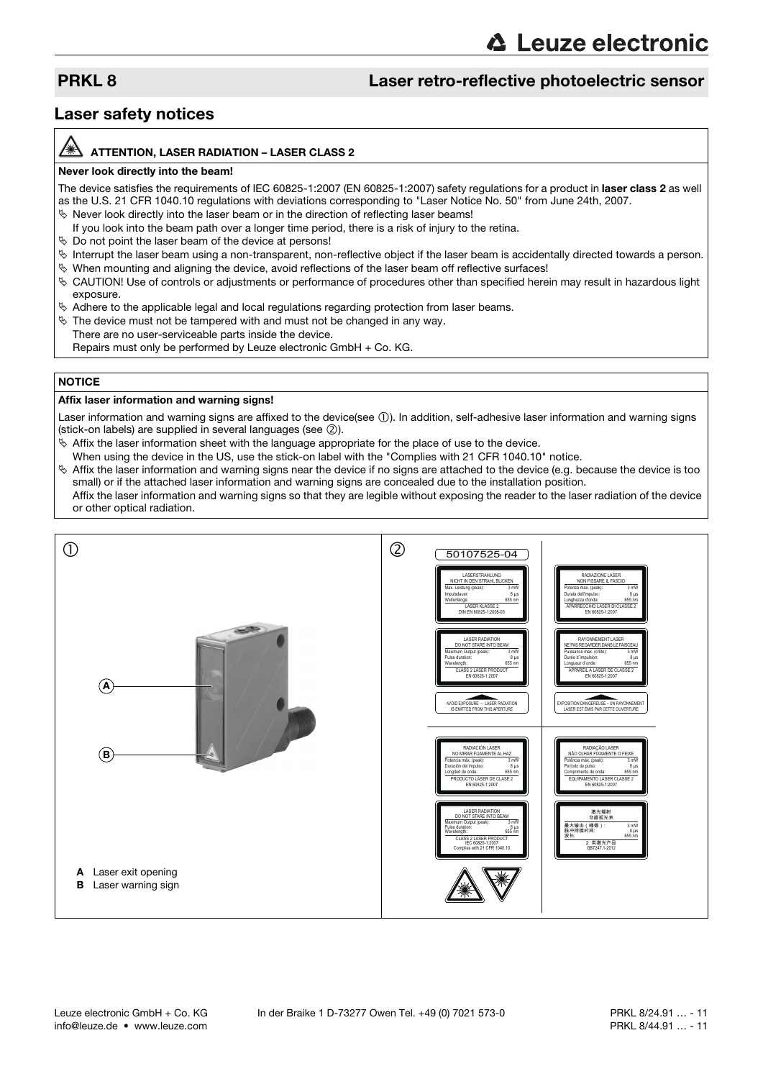### PRKL 8 Laser retro-reflective photoelectric sensor

### Laser safety notices

#### ATTENTION, LASER RADIATION – LASER CLASS 2

#### Never look directly into the beam!

The device satisfies the requirements of IEC 60825-1:2007 (EN 60825-1:2007) safety regulations for a product in laser class 2 as well as the U.S. 21 CFR 1040.10 regulations with deviations corresponding to "Laser Notice No. 50" from June 24th, 2007.

- $\%$  Never look directly into the laser beam or in the direction of reflecting laser beams!
- If you look into the beam path over a longer time period, there is a risk of injury to the retina.
- $\%$  Do not point the laser beam of the device at persons!
- $\%$  Interrupt the laser beam using a non-transparent, non-reflective object if the laser beam is accidentally directed towards a person.
- $\%$  When mounting and aligning the device, avoid reflections of the laser beam off reflective surfaces!
- CAUTION! Use of controls or adjustments or performance of procedures other than specified herein may result in hazardous light exposure.
- $\%$  Adhere to the applicable legal and local regulations regarding protection from laser beams.
- $\%$  The device must not be tampered with and must not be changed in any way.
- There are no user-serviceable parts inside the device.
- Repairs must only be performed by Leuze electronic GmbH + Co. KG.

#### **NOTICE**

#### Affix laser information and warning signs!

Laser information and warning signs are affixed to the device(see 1). In addition, self-adhesive laser information and warning signs (stick-on labels) are supplied in several languages (see 2).

- $\&$  Affix the laser information sheet with the language appropriate for the place of use to the device.
- When using the device in the US, use the stick-on label with the "Complies with 21 CFR 1040.10" notice.
- $\%$  Affix the laser information and warning signs near the device if no signs are attached to the device (e.g. because the device is too small) or if the attached laser information and warning signs are concealed due to the installation position.

Affix the laser information and warning signs so that they are legible without exposing the reader to the laser radiation of the device or other optical radiation.